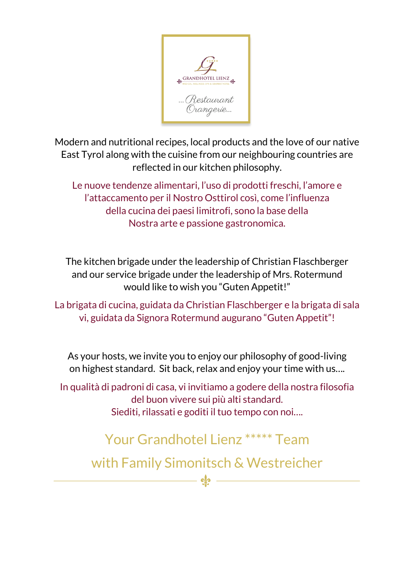

Modern and nutritional recipes, local products and the love of our native East Tyrol along with the cuisine from our neighbouring countries are reflected in our kitchen philosophy.

Le nuove tendenze alimentari, l'uso di prodotti freschi, l'amore e l'attaccamento per il Nostro Osttirol così, come l'influenza della cucina dei paesi limitrofi, sono la base della Nostra arte e passione gastronomica.

The kitchen brigade under the leadership of Christian Flaschberger and our service brigade under the leadership of Mrs. Rotermund would like to wish you "Guten Appetit!"

La brigata di cucina, guidata da Christian Flaschberger e la brigata di sala vi, guidata da Signora Rotermund augurano "Guten Appetit"!

As your hosts, we invite you to enjoy our philosophy of good-living on highest standard. Sit back, relax and enjoy your time with us….

In qualità di padroni di casa, vi invitiamo a godere della nostra filosofia del buon vivere sui più alti standard. Siediti, rilassati e goditi il tuo tempo con noi….

Your Grandhotel Lienz \*\*\*\*\* Team

with Family Simonitsch & Westreicher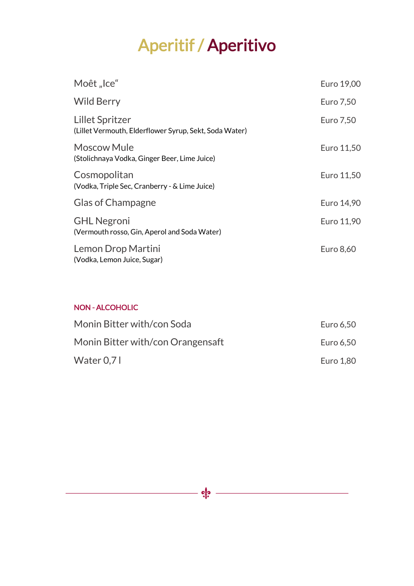# Aperitif / Aperitivo

| Moêt "Ice"                                                                       | Euro 19,00 |
|----------------------------------------------------------------------------------|------------|
| Wild Berry                                                                       | Euro 7,50  |
| <b>Lillet Spritzer</b><br>(Lillet Vermouth, Elderflower Syrup, Sekt, Soda Water) | Euro 7,50  |
| <b>Moscow Mule</b><br>(Stolichnaya Vodka, Ginger Beer, Lime Juice)               | Euro 11,50 |
| Cosmopolitan<br>(Vodka, Triple Sec, Cranberry - & Lime Juice)                    | Euro 11,50 |
| <b>Glas of Champagne</b>                                                         | Euro 14,90 |
| <b>GHL Negroni</b><br>(Vermouth rosso, Gin, Aperol and Soda Water)               | Euro 11,90 |
| Lemon Drop Martini<br>(Vodka, Lemon Juice, Sugar)                                | Euro 8,60  |

### NON - ALCOHOLIC

| Monin Bitter with/con Soda        | Euro 6,50 |  |
|-----------------------------------|-----------|--|
| Monin Bitter with/con Orangensaft | Euro 6,50 |  |
| Water $0.71$                      | Euro 1,80 |  |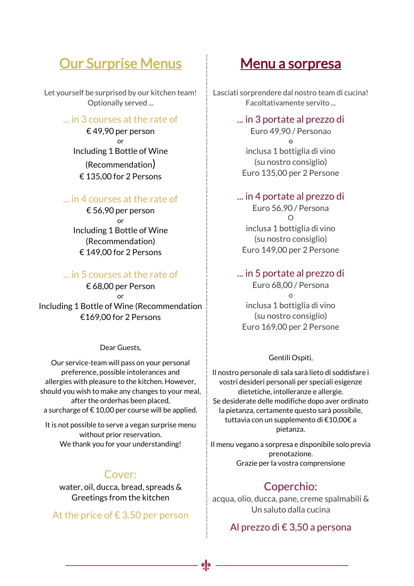## **Our Surprise Menus**

Let yourself be surprised by our kitchen team! Optionally served ...

### ... in 3 courses at the rate of

€ 49,90 per person or Including 1 Bottle of Wine (Recommendation) € 135,00 for 2 Persons

### ... in 4 courses at the rate of

€ 56,90 per person or Including 1 Bottle of Wine (Recommendation) € 149,00 for 2 Persons

### ... in 5 courses at the rate of

€ 68,00 per Person or Including 1 Bottle of Wine (Recommendation €169,00 for 2 Persons

Dear Guests,

Our service-team will pass on your personal preference, possible intolerances and allergies with pleasure to the kitchen. However, should you wish to make any changes to your meal, after the orderhas been placed, a surcharge of  $\epsilon$  10,00 per course will be applied.

It is not possible to serve a vegan surprise menu without prior reservation. We thank you for your understanding!

## Cover:

water, oil, ducca, bread, spreads & Greetings from the kitchen

At the price of  $\epsilon$  3.50 per person

## Menu a sorpresa

Lasciati sorprendere dal nostro team di cucina! Facoltativamente servito ...

#### ... in 3 portate al prezzo di

Euro 49,90 / Personao o inclusa 1 bottiglia di vino (su nostro consiglio) Euro 135,00 per 2 Persone

#### ... in 4 portate al prezzo di

Euro 56,90 / Persona  $\Omega$ inclusa 1 bottiglia di vino (su nostro consiglio) Euro 149,00 per 2 Persone

### ... in 5 portate al prezzo di

Euro 68,00 / Persona o inclusa 1 bottiglia di vino (su nostro consiglio) Euro 169,00 per 2 Persone

#### Gentili Ospiti,

Il nostro personale di sala sarà lieto di soddisfare i vostri desideri personali per speciali esigenze dietetiche, intolleranze e allergie. Se desiderate delle modifiche dopo aver ordinato la pietanza, certamente questo sarà possibile, tuttavia con un supplemento di €10,00€ a pietanza.

Il menu vegano a sorpresa e disponibile solo previa prenotazione. Grazie per la vostra comprensione

## Coperchio:

acqua, olio, ducca, pane, creme spalmabili & Un saluto dalla cucina

Al prezzo di € 3,50 a persona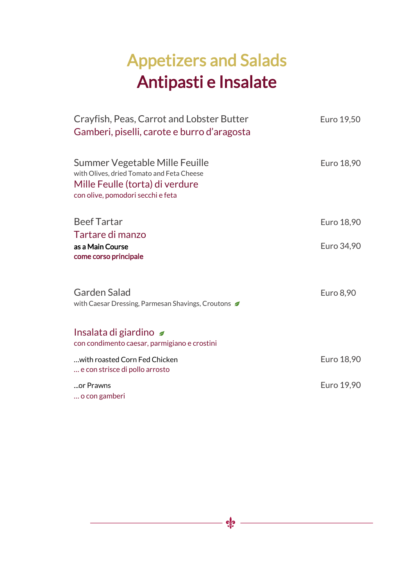# Appetizers and Salads Antipasti e Insalate

| Crayfish, Peas, Carrot and Lobster Butter<br>Gamberi, piselli, carote e burro d'aragosta                                                            | Euro 19,50 |
|-----------------------------------------------------------------------------------------------------------------------------------------------------|------------|
| Summer Vegetable Mille Feuille<br>with Olives, dried Tomato and Feta Cheese<br>Mille Feulle (torta) di verdure<br>con olive, pomodori secchi e feta | Euro 18,90 |
| <b>Beef Tartar</b><br>Tartare di manzo                                                                                                              | Euro 18,90 |
| as a Main Course<br>come corso principale                                                                                                           | Euro 34,90 |
| <b>Garden Salad</b><br>with Caesar Dressing, Parmesan Shavings, Croutons                                                                            | Euro 8,90  |
| Insalata di giardino<br>con condimento caesar, parmigiano e crostini                                                                                |            |
| with roasted Corn Fed Chicken<br>e con strisce di pollo arrosto                                                                                     | Euro 18,90 |
| or Prawns<br>o con gamberi                                                                                                                          | Euro 19,90 |

 $-$  ofe  $-$ 

<u> 1989 - Johann Barn, mars eta bainar e</u>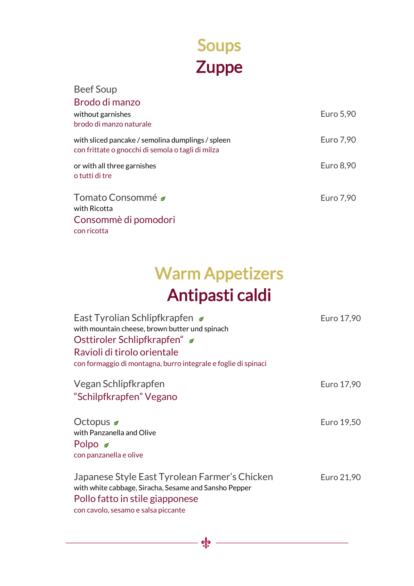# Soups **Zuppe**

| <b>Beef Soup</b>                                                                                       |           |
|--------------------------------------------------------------------------------------------------------|-----------|
| Brodo di manzo<br>without garnishes<br>brodo di manzo naturale                                         | Euro 5,90 |
| with sliced pancake / semolina dumplings / spleen<br>con frittate o gnocchi di semola o tagli di milza | Euro 7,90 |
| or with all three garnishes<br>o tutti di tre                                                          | Euro 8,90 |
| Tomato Consommé <i>■</i><br>with Ricotta                                                               | Euro 7,90 |
| Consommè di pomodori<br>con ricotta                                                                    |           |

# Warm Appetizers Antipasti caldi

| East Tyrolian Schlipfkrapfen<br>with mountain cheese, brown butter und spinach<br>Osttiroler Schlipfkrapfen" ■<br>Ravioli di tirolo orientale<br>con formaggio di montagna, burro integrale e foglie di spinaci | Euro 17,90 |
|-----------------------------------------------------------------------------------------------------------------------------------------------------------------------------------------------------------------|------------|
| Vegan Schlipfkrapfen<br>"Schilpfkrapfen" Vegano                                                                                                                                                                 | Euro 17,90 |
| Octopus $\triangleleft$<br>with Panzanella and Olive<br>Polpo $\leq$<br>con panzanella e olive                                                                                                                  | Euro 19,50 |
| Japanese Style East Tyrolean Farmer's Chicken<br>with white cabbage, Siracha, Sesame and Sansho Pepper<br>Pollo fatto in stile giapponese<br>con cavolo, sesamo e salsa piccante                                | Euro 21,90 |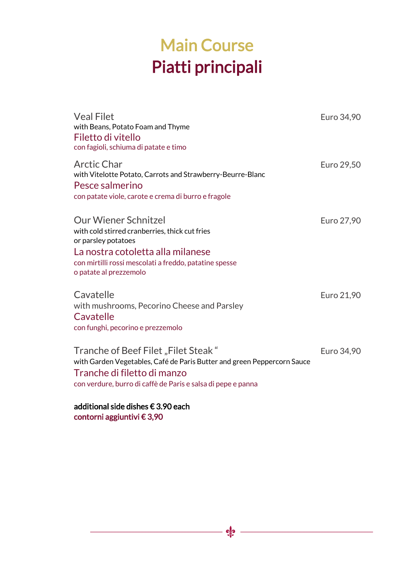## Main Course Piatti principali

| <b>Veal Filet</b><br>with Beans, Potato Foam and Thyme<br>Filetto di vitello<br>con fagioli, schiuma di patate e timo                                                                                                         | Euro 34,90 |
|-------------------------------------------------------------------------------------------------------------------------------------------------------------------------------------------------------------------------------|------------|
| Arctic Char<br>with Vitelotte Potato, Carrots and Strawberry-Beurre-Blanc<br>Pesce salmerino<br>con patate viole, carote e crema di burro e fragole                                                                           | Euro 29,50 |
| <b>Our Wiener Schnitzel</b><br>with cold stirred cranberries, thick cut fries<br>or parsley potatoes<br>La nostra cotoletta alla milanese<br>con mirtilli rossi mescolati a freddo, patatine spesse<br>o patate al prezzemolo | Euro 27,90 |
| Cavatelle<br>with mushrooms, Pecorino Cheese and Parsley<br>Cavatelle<br>con funghi, pecorino e prezzemolo                                                                                                                    | Euro 21,90 |
| Tranche of Beef Filet "Filet Steak"<br>with Garden Vegetables, Café de Paris Butter and green Peppercorn Sauce<br>Tranche di filetto di manzo<br>con verdure, burro di caffè de Paris e salsa di pepe e panna                 | Euro 34,90 |
| additional side dishes € 3.90 each<br>contorni aggiuntivi € 3,90                                                                                                                                                              |            |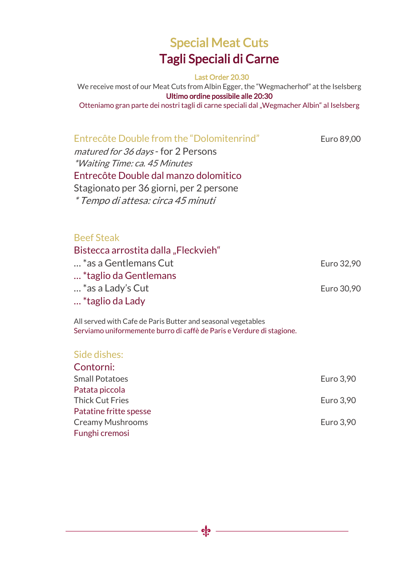## Special Meat Cuts Tagli Speciali di Carne

Last Order 20.30

We receive most of our Meat Cuts from Albin Egger, the "Wegmacherhof" at the Iselsberg Ultimo ordine possibile alle 20:30 Otteniamo gran parte dei nostri tagli di carne speciali dal "Wegmacher Albin" al Iselsberg

## Entrecôte Double from the "Dolomitenrind" Euro 89,00

matured for 36 days - for 2 Persons \*Waiting Time: ca. 45 Minutes Entrecôte Double dal manzo dolomitico Stagionato per 36 giorni, per 2 persone \* Tempo di attesa: circa 45 minuti

### Beef Steak

Bistecca arrostita dalla "Fleckvieh" … \*as a Gentlemans Cut Euro 32,90 … \*taglio da Gentlemans … \*as a Lady's Cut Euro 30,90 … \*taglio da Lady

All served with Cafe de Paris Butter and seasonal vegetables Serviamo uniformemente burro di caffè de Paris e Verdure di stagione.

### Side dishes:

| Contorni:               |           |
|-------------------------|-----------|
| <b>Small Potatoes</b>   | Euro 3,90 |
| Patata piccola          |           |
| <b>Thick Cut Fries</b>  | Euro 3,90 |
| Patatine fritte spesse  |           |
| <b>Creamy Mushrooms</b> | Euro 3,90 |
| Funghi cremosi          |           |